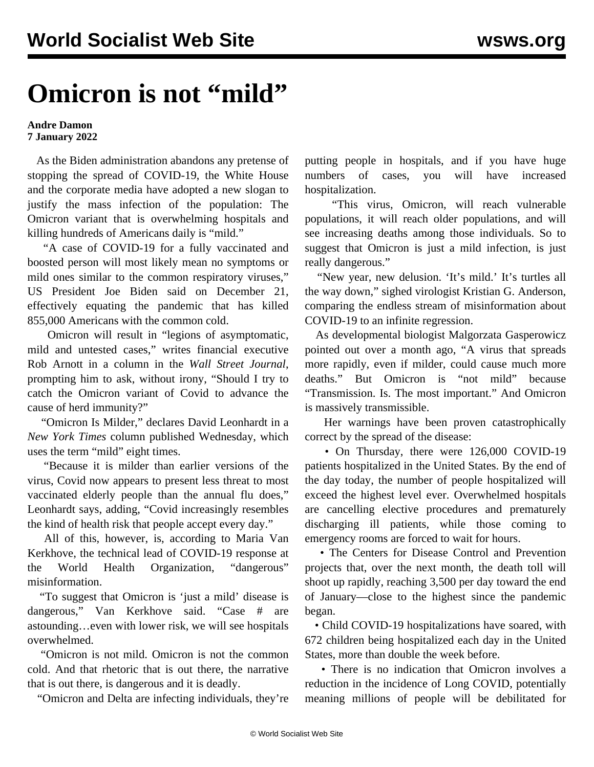## **Omicron is not "mild"**

## **Andre Damon 7 January 2022**

 As the Biden administration abandons any pretense of stopping the spread of COVID-19, the White House and the corporate media have adopted a new slogan to justify the mass infection of the population: The Omicron variant that is overwhelming hospitals and killing hundreds of Americans daily is "mild."

 "A case of COVID-19 for a fully vaccinated and boosted person will most likely mean no symptoms or mild ones similar to the common respiratory viruses," US President Joe Biden [said](https://www.whitehouse.gov/briefing-room/speeches-remarks/2021/12/21/remarks-by-president-biden-on-the-fight-against-covid-19/) on December 21, effectively equating the pandemic that has killed 855,000 Americans with the common cold.

 Omicron will result in "legions of asymptomatic, mild and untested cases," writes financial executive Rob Arnott in a column in the *Wall Street Journal*, prompting him to ask, without irony, "Should I try to catch the Omicron variant of Covid to advance the cause of herd immunity?"

 "Omicron Is Milder," [declares](https://www.nytimes.com/2022/01/05/briefing/omicron-risk-milder-pandemic.html) David Leonhardt in a *New York Times* column published Wednesday, which uses the term "mild" eight times.

 "Because it is milder than earlier versions of the virus, Covid now appears to present less threat to most vaccinated elderly people than the annual flu does," Leonhardt says, adding, "Covid increasingly resembles the kind of health risk that people accept every day."

 All of this, however, is, according to Maria Van Kerkhove, the technical lead of COVID-19 response at the World Health Organization, "dangerous" misinformation.

 "To suggest that Omicron is 'just a mild' disease is dangerous," Van Kerkhove said. "Case # are astounding…even with lower risk, we will see hospitals overwhelmed.

 "Omicron is not mild. Omicron is not the common cold. And that rhetoric that is out there, the narrative that is out there, is dangerous and it is deadly.

"Omicron and Delta are infecting individuals, they're

putting people in hospitals, and if you have huge numbers of cases, you will have increased hospitalization.

 "This virus, Omicron, will reach vulnerable populations, it will reach older populations, and will see increasing deaths among those individuals. So to suggest that Omicron is just a mild infection, is just really dangerous."

 "New year, new delusion. 'It's mild.' It's turtles all the way down," sighed virologist Kristian G. Anderson, comparing the endless stream of misinformation about COVID-19 to an infinite regression.

 As developmental biologist Malgorzata Gasperowicz pointed out over a month ago, "A virus that spreads more rapidly, even if milder, could cause much more deaths." But Omicron is "not mild" because "Transmission. Is. The most important." And Omicron is massively transmissible.

 Her warnings have been proven catastrophically correct by the spread of the disease:

• On Thursday, there were 126,000 COVID-19 patients hospitalized in the United States. By the end of the day today, the number of people hospitalized will exceed the highest level ever. Overwhelmed hospitals are cancelling elective procedures and prematurely discharging ill patients, while those coming to emergency rooms are forced to wait for hours.

 • The Centers for Disease Control and Prevention projects that, over the next month, the death toll will shoot up rapidly, reaching 3,500 per day toward the end of January—close to the highest since the pandemic began.

 • Child COVID-19 hospitalizations have soared, with 672 children being hospitalized each day in the United States, more than double the week before.

 • There is no indication that Omicron involves a reduction in the incidence of Long COVID, potentially meaning millions of people will be debilitated for